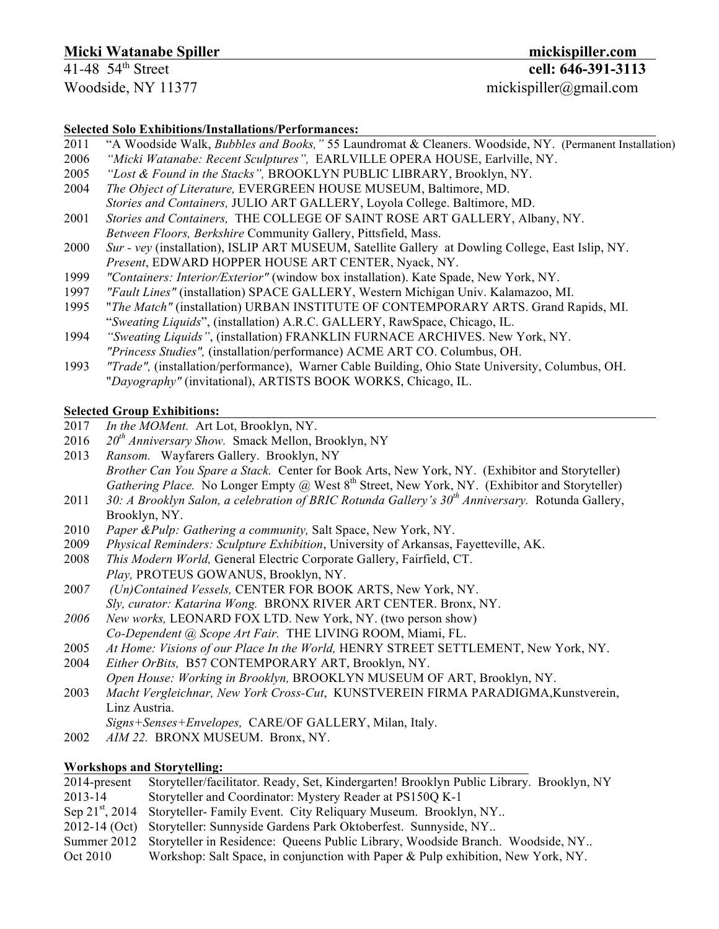# **Micki Watanabe Spiller mickispiller.com**

Woodside, NY 11377 mickispiller@gmail.com

### **Selected Solo Exhibitions/Installations/Performances:**

- 2011 "A Woodside Walk, *Bubbles and Books,"* 55 Laundromat & Cleaners. Woodside, NY. (Permanent Installation)
- 2006 *"Micki Watanabe: Recent Sculptures",* EARLVILLE OPERA HOUSE, Earlville, NY.
- 2005 *"Lost & Found in the Stacks",* BROOKLYN PUBLIC LIBRARY, Brooklyn, NY.
- 2004 *The Object of Literature,* EVERGREEN HOUSE MUSEUM, Baltimore, MD.
- *Stories and Containers,* JULIO ART GALLERY, Loyola College. Baltimore, MD.
- 2001 *Stories and Containers,* THE COLLEGE OF SAINT ROSE ART GALLERY, Albany, NY.
- *Between Floors, Berkshire* Community Gallery, Pittsfield, Mass.
- 2000 *Sur - vey* (installation), ISLIP ART MUSEUM, Satellite Gallery at Dowling College, East Islip, NY. *Present*, EDWARD HOPPER HOUSE ART CENTER, Nyack, NY.
- 1999 *"Containers: Interior/Exterior"* (window box installation). Kate Spade, New York, NY.
- 1997 *"Fault Lines"* (installation) SPACE GALLERY, Western Michigan Univ. Kalamazoo, MI.
- 1995 "*The Match"* (installation) URBAN INSTITUTE OF CONTEMPORARY ARTS. Grand Rapids, MI. "*Sweating Liquids*", (installation) A.R.C. GALLERY, RawSpace, Chicago, IL.
- 1994 *"Sweating Liquids"*, (installation) FRANKLIN FURNACE ARCHIVES. New York, NY. *"Princess Studies",* (installation/performance) ACME ART CO. Columbus, OH.
- 1993 *"Trade",* (installation/performance), Warner Cable Building, Ohio State University, Columbus, OH. "*Dayography"* (invitational), ARTISTS BOOK WORKS, Chicago, IL.

## **Selected Group Exhibitions:**

- 2017 *In the MOMent.* Art Lot, Brooklyn, NY.
- 2016 *20th Anniversary Show.* Smack Mellon, Brooklyn, NY
- 2013 *Ransom.* Wayfarers Gallery. Brooklyn, NY *Brother Can You Spare a Stack.* Center for Book Arts, New York, NY. (Exhibitor and Storyteller) *Gathering Place.* No Longer Empty @ West 8<sup>th</sup> Street, New York, NY. (Exhibitor and Storyteller)
- 2011 *30: A Brooklyn Salon, a celebration of BRIC Rotunda Gallery's 30th Anniversary.* Rotunda Gallery, Brooklyn, NY.
- 2010 *Paper &Pulp: Gathering a community,* Salt Space, New York, NY.
- 2009 *Physical Reminders: Sculpture Exhibition*, University of Arkansas, Fayetteville, AK.
- 2008 *This Modern World,* General Electric Corporate Gallery, Fairfield, CT. *Play,* PROTEUS GOWANUS, Brooklyn, NY.
- 200*7 (Un)Contained Vessels,* CENTER FOR BOOK ARTS, New York, NY. *Sly, curator: Katarina Wong.* BRONX RIVER ART CENTER. Bronx, NY.
- *2006 New works,* LEONARD FOX LTD. New York, NY. (two person show) *Co-Dependent @ Scope Art Fair.* THE LIVING ROOM, Miami, FL.
- 2005 *At Home: Visions of our Place In the World,* HENRY STREET SETTLEMENT, New York, NY.
- 2004 *Either OrBits,* B57 CONTEMPORARY ART, Brooklyn, NY.
- *Open House: Working in Brooklyn,* BROOKLYN MUSEUM OF ART, Brooklyn, NY.
- 2003 *Macht Vergleichnar, New York Cross-Cut*, KUNSTVEREIN FIRMA PARADIGMA,Kunstverein, Linz Austria.
	- *Signs+Senses+Envelopes,* CARE/OF GALLERY, Milan, Italy.
- 2002 *AIM 22.* BRONX MUSEUM. Bronx, NY.

#### **Workshops and Storytelling:**

| Storyteller/facilitator. Ready, Set, Kindergarten! Brooklyn Public Library. Brooklyn, NY   |
|--------------------------------------------------------------------------------------------|
| Storyteller and Coordinator: Mystery Reader at PS150Q K-1                                  |
| Sep 21 <sup>st</sup> , 2014 Storyteller-Family Event. City Reliquary Museum. Brooklyn, NY  |
| 2012-14 (Oct) Storyteller: Sunnyside Gardens Park Oktoberfest. Sunnyside, NY               |
| Summer 2012 Storyteller in Residence: Queens Public Library, Woodside Branch. Woodside, NY |
| Workshop: Salt Space, in conjunction with Paper & Pulp exhibition, New York, NY.           |
|                                                                                            |

41-48 54th Street **cell: 646-391-3113**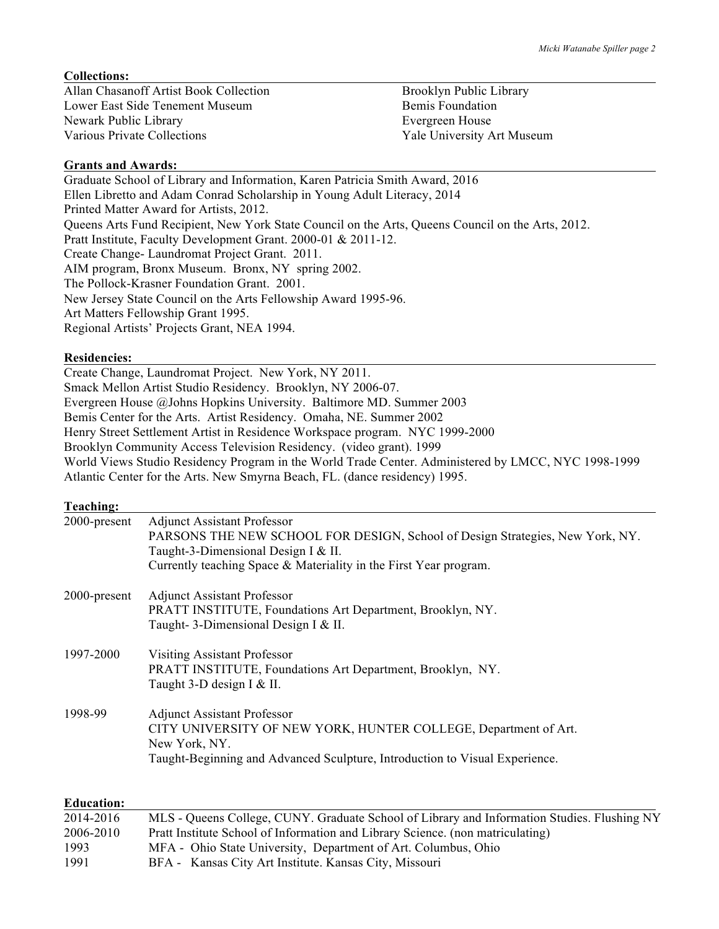### **Collections:**

Allan Chasanoff Artist Book Collection Brooklyn Public Library Lower East Side Tenement Museum Bemis Foundation Newark Public Library Evergreen House Various Private Collections **Yale University Art Museum** 

### **Grants and Awards:**

Graduate School of Library and Information, Karen Patricia Smith Award, 2016 Ellen Libretto and Adam Conrad Scholarship in Young Adult Literacy, 2014 Printed Matter Award for Artists, 2012. Queens Arts Fund Recipient, New York State Council on the Arts, Queens Council on the Arts, 2012. Pratt Institute, Faculty Development Grant. 2000-01 & 2011-12. Create Change- Laundromat Project Grant. 2011. AIM program, Bronx Museum. Bronx, NY spring 2002. The Pollock-Krasner Foundation Grant. 2001. New Jersey State Council on the Arts Fellowship Award 1995-96. Art Matters Fellowship Grant 1995. Regional Artists' Projects Grant, NEA 1994.

#### **Residencies:**

Create Change, Laundromat Project. New York, NY 2011. Smack Mellon Artist Studio Residency. Brooklyn, NY 2006-07. Evergreen House @Johns Hopkins University. Baltimore MD. Summer 2003 Bemis Center for the Arts. Artist Residency. Omaha, NE. Summer 2002 Henry Street Settlement Artist in Residence Workspace program. NYC 1999-2000 Brooklyn Community Access Television Residency. (video grant). 1999 World Views Studio Residency Program in the World Trade Center. Administered by LMCC, NYC 1998-1999 Atlantic Center for the Arts. New Smyrna Beach, FL. (dance residency) 1995.

| Teaching:    |                                                                                                                                                                                                                                 |
|--------------|---------------------------------------------------------------------------------------------------------------------------------------------------------------------------------------------------------------------------------|
| 2000-present | <b>Adjunct Assistant Professor</b><br>PARSONS THE NEW SCHOOL FOR DESIGN, School of Design Strategies, New York, NY.<br>Taught-3-Dimensional Design I & II.<br>Currently teaching Space & Materiality in the First Year program. |
| 2000-present | <b>Adjunct Assistant Professor</b><br>PRATT INSTITUTE, Foundations Art Department, Brooklyn, NY.<br>Taught- 3-Dimensional Design I & II.                                                                                        |
| 1997-2000    | <b>Visiting Assistant Professor</b><br>PRATT INSTITUTE, Foundations Art Department, Brooklyn, NY.<br>Taught 3-D design I & II.                                                                                                  |
| 1998-99      | <b>Adjunct Assistant Professor</b><br>CITY UNIVERSITY OF NEW YORK, HUNTER COLLEGE, Department of Art.<br>New York, NY.<br>Taught-Beginning and Advanced Sculpture, Introduction to Visual Experience.                           |
| Education:   |                                                                                                                                                                                                                                 |

| ечисанон. |                                                                                             |
|-----------|---------------------------------------------------------------------------------------------|
| 2014-2016 | MLS - Queens College, CUNY. Graduate School of Library and Information Studies. Flushing NY |
| 2006-2010 | Pratt Institute School of Information and Library Science. (non matriculating)              |
| 1993      | MFA - Ohio State University, Department of Art. Columbus, Ohio                              |
| 1991      | BFA - Kansas City Art Institute. Kansas City, Missouri                                      |
|           |                                                                                             |